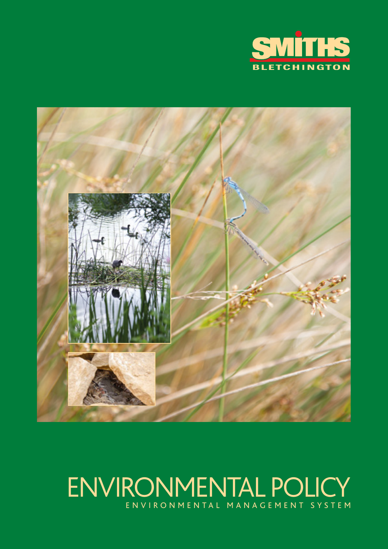



# ENVIRONMENTAL POLICY ENVIRONMENTAL MANAGEMENT SYSTEM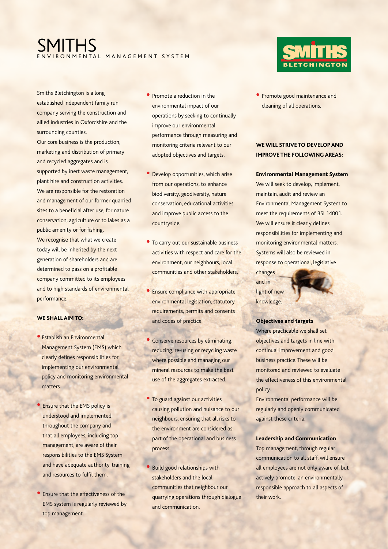## SMITHS ENVIRONMENTAL MANAGEMENT SYSTEM

Smiths Bletchington is a long established independent family run company serving the construction and allied industries in Oxfordshire and the surrounding counties.

Our core business is the production, marketing and distribution of primary and recycled aggregates and is supported by inert waste management, plant hire and construction activities. We are responsible for the restoration and management of our former quarried sites to a beneficial after use; for nature conservation, agriculture or to lakes as a public amenity or for fishing. We recognise that what we create today will be inherited by the next generation of shareholders and are determined to pass on a profitable company committed to its employees and to high standards of environmental performance.

### **WE SHALL AIM TO:**

- Establish an Environmental Management System (EMS) which clearly defines responsibilities for implementing our environmental policy and monitoring environmental matters
- Ensure that the EMS policy is understood and implemented throughout the company and that all employees, including top management, are aware of their responsibilities to the EMS System and have adequate authority, training and resources to fulfil them.
- Ensure that the effectiveness of the EMS system is regularly reviewed by top management.
- Promote a reduction in the environmental impact of our operations by seeking to continually improve our environmental performance through measuring and monitoring criteria relevant to our adopted objectives and targets.
- Develop opportunities, which arise from our operations, to enhance biodiversity, geodiversity, nature conservation, educational activities and improve public access to the countryside.
- To carry out our sustainable business activities with respect and care for the environment, our neighbours, local communities and other stakeholders.
- **Ensure compliance with appropriate** environmental legislation, statutory requirements, permits and consents and codes of practice.
- Conserve resources by eliminating, reducing, re-using or recycling waste where possible and managing our mineral resources to make the best use of the aggregates extracted.
- To guard against our activities causing pollution and nuisance to our neighbours, ensuring that all risks to the environment are considered as part of the operational and business process.
- Build good relationships with stakeholders and the local communities that neighbour our quarrying operations through dialogue and communication.



• Promote good maintenance and cleaning of all operations.

### **WE WILL STRIVE TO DEVELOP AND IMPROVE THE FOLLOWING AREAS:**

#### **Environmental Management System**

We will seek to develop, implement, maintain, audit and review an Environmental Management System to meet the requirements of BSI 14001. We will ensure it clearly defines responsibilities for implementing and monitoring environmental matters. Systems will also be reviewed in response to operational, legislative changes

and in light of new knowledge.



#### **Objectives and targets**

Where practicable we shall set objectives and targets in line with continual improvement and good business practice. These will be monitored and reviewed to evaluate the effectiveness of this environmental policy.

Environmental performance will be regularly and openly communicated against these criteria.

**Leadership and Communication**

Top management, through regular communication to all staff, will ensure all employees are not only aware of, but actively promote, an environmentally responsible approach to all aspects of their work.